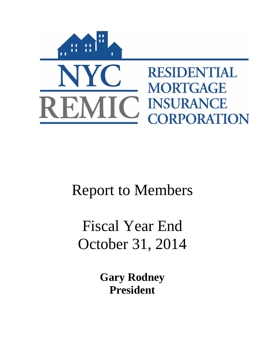

# Report to Members

# Fiscal Year End October 31, 2014

**Gary Rodney President**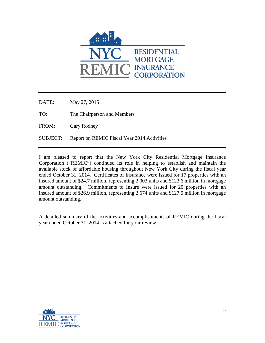

DATE: May 27, 2015

TO: The Chairperson and Members

FROM: Gary Rodney

SUBJECT: Report on REMIC Fiscal Year 2014 Activities

I am pleased to report that the New York City Residential Mortgage Insurance Corporation ("REMIC") continued its role in helping to establish and maintain the available stock of affordable housing throughout New York City during the fiscal year ended October 31, 2014. Certificates of Insurance were issued for 17 properties with an insured amount of \$24.7 million, representing 2,003 units and \$123.6 million in mortgage amount outstanding. Commitments to Insure were issued for 20 properties with an insured amount of \$26.9 million, representing 2,674 units and \$127.5 million in mortgage amount outstanding.

A detailed summary of the activities and accomplishments of REMIC during the fiscal year ended October 31, 2014 is attached for your review.

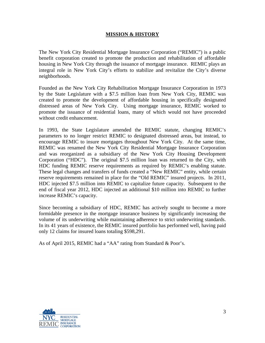## **MISSION & HISTORY**

The New York City Residential Mortgage Insurance Corporation ("REMIC") is a public benefit corporation created to promote the production and rehabilitation of affordable housing in New York City through the issuance of mortgage insurance. REMIC plays an integral role in New York City's efforts to stabilize and revitalize the City's diverse neighborhoods.

Founded as the New York City Rehabilitation Mortgage Insurance Corporation in 1973 by the State Legislature with a \$7.5 million loan from New York City, REMIC was created to promote the development of affordable housing in specifically designated distressed areas of New York City. Using mortgage insurance, REMIC worked to promote the issuance of residential loans, many of which would not have proceeded without credit enhancement.

In 1993, the State Legislature amended the REMIC statute, changing REMIC's parameters to no longer restrict REMIC to designated distressed areas, but instead, to encourage REMIC to insure mortgages throughout New York City. At the same time, REMIC was renamed the New York City Residential Mortgage Insurance Corporation and was reorganized as a subsidiary of the New York City Housing Development Corporation ("HDC"). The original \$7.5 million loan was returned to the City, with HDC funding REMIC reserve requirements as required by REMIC's enabling statute. These legal changes and transfers of funds created a "New REMIC" entity, while certain reserve requirements remained in place for the "Old REMIC" insured projects. In 2011, HDC injected \$7.5 million into REMIC to capitalize future capacity. Subsequent to the end of fiscal year 2012, HDC injected an additional \$10 million into REMIC to further increase REMIC's capacity.

Since becoming a subsidiary of HDC, REMIC has actively sought to become a more formidable presence in the mortgage insurance business by significantly increasing the volume of its underwriting while maintaining adherence to strict underwriting standards. In its 41 years of existence, the REMIC insured portfolio has performed well, having paid only 12 claims for insured loans totaling \$598,291.

As of April 2015, REMIC had a "AA" rating from Standard & Poor's.

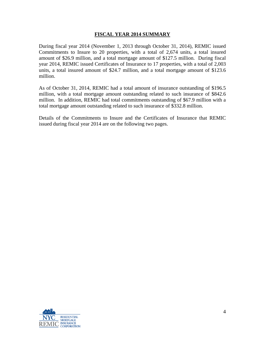#### **FISCAL YEAR 2014 SUMMARY**

During fiscal year 2014 (November 1, 2013 through October 31, 2014), REMIC issued Commitments to Insure to 20 properties, with a total of 2,674 units, a total insured amount of \$26.9 million, and a total mortgage amount of \$127.5 million. During fiscal year 2014, REMIC issued Certificates of Insurance to 17 properties, with a total of 2,003 units, a total insured amount of \$24.7 million, and a total mortgage amount of \$123.6 million.

As of October 31, 2014, REMIC had a total amount of insurance outstanding of \$196.5 million, with a total mortgage amount outstanding related to such insurance of \$842.6 million. In addition, REMIC had total commitments outstanding of \$67.9 million with a total mortgage amount outstanding related to such insurance of \$332.8 million.

Details of the Commitments to Insure and the Certificates of Insurance that REMIC issued during fiscal year 2014 are on the following two pages.

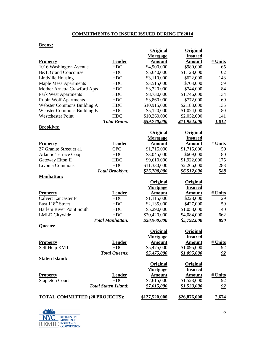## **COMMITMENTS TO INSURE ISSUED DURING FY2014**

#### **Bronx:**

|                                       |                             | <b>Original</b><br>Mortgage | Original<br><b>Insured</b> |              |
|---------------------------------------|-----------------------------|-----------------------------|----------------------------|--------------|
| <b>Property</b>                       | <b>Lender</b>               | <b>Amount</b>               | <b>Amount</b>              | # Units      |
| 1016 Washington Avenue                | <b>HDC</b>                  | \$4,900,000                 | \$980,000                  | 65           |
| <b>B&amp;L Grand Concourse</b>        | <b>HDC</b>                  | \$5,640,000                 | \$1,128,000                | 102          |
| Lindville Housing                     | <b>HDC</b>                  | \$3,110,000                 | \$622,000                  | 143          |
| <b>Maple Mesa Apartments</b>          | <b>HDC</b>                  | \$3,515,000                 | \$703,000                  | 59           |
| Mother Arnetta Crawford Apts          | <b>HDC</b>                  | \$3,720,000                 | \$744,000                  | 84           |
| Park West Apartments                  | <b>HDC</b>                  | \$8,730,000                 | \$1,746,000                | 134          |
| <b>Rubin Wolf Apartments</b>          | <b>HDC</b>                  | \$3,860,000                 | \$772,000                  | 69           |
| Webster Commons Building A            | <b>HDC</b>                  | \$10,915,000                | \$2,183,000                | 135          |
| <b>Webster Commons Building B</b>     | <b>HDC</b>                  | \$5,120,000                 | \$1,024,000                | 80           |
| <b>Westchester Point</b>              | <b>HDC</b>                  | \$10,260,000                | \$2,052,000                | 141          |
|                                       | <b>Total Bronx:</b>         | \$59,770,000                | \$11,954,000               | 1,012        |
| <b>Brooklyn:</b>                      |                             |                             |                            |              |
|                                       |                             | <b>Original</b>             | <b>Original</b>            |              |
|                                       |                             | Mortgage                    | <b>Insured</b>             |              |
| <b>Property</b>                       | Lender                      | <b>Amount</b>               | <b>Amount</b>              | # Units      |
| 27 Granite Street et al.              | <b>CPC</b>                  | \$1,715,000                 | \$1,715,000                | 50           |
| <b>Atlantic Terrace Coop</b>          | <b>HDC</b>                  | \$3,045,000                 | \$609,000                  | 80           |
| Gateway Elton II                      | <b>HDC</b>                  | \$9,610,000                 | \$1,922,000                | 175          |
| Livonia Commons                       | <b>HDC</b>                  | \$11,330,000                | \$2,266,000                | 283          |
|                                       | <b>Total Brooklyn:</b>      | \$25,700,000                | <u>\$6,512,000</u>         | <u>588</u>   |
| <b>Manhattan:</b>                     |                             |                             |                            |              |
|                                       |                             | <b>Original</b>             | <b>Original</b>            |              |
|                                       |                             | Mortgage                    | <b>Insured</b>             |              |
| <b>Property</b>                       | <b>Lender</b>               | <b>Amount</b>               | Amount                     | # Units      |
| <b>Calvert Lancaster F</b>            | <b>HDC</b>                  | \$1,115,000                 | \$223,000                  | 29           |
| East 118 <sup>th</sup> Street         | <b>HDC</b>                  | \$2,135,000                 | \$427,000                  | 59           |
| Harlem River Point South              | <b>HDC</b>                  | \$5,290,000                 | \$1,058,000                | 140          |
| <b>LMLD</b> Citywide                  | <b>HDC</b>                  | \$20,420,000                | \$4,084,000                | 662          |
| Queens:                               | <b>Total Manhattan:</b>     | \$28,960,000                | \$5,792,000                | <u>890</u>   |
|                                       |                             | Original                    | Original                   |              |
|                                       |                             | Mortgage                    | <b>Insured</b>             |              |
| <b>Property</b>                       | <b>Lender</b>               | <u>Amount</u>               | <u>Amount</u>              | # Units      |
| Self Help KVII                        | <b>HDC</b>                  | \$5,475,000                 | \$1,095,000                | 92           |
|                                       | <b>Total Queens:</b>        | \$5,475,000                 | <u>\$1,095,000</u>         | <u>92</u>    |
| <b>Staten Island:</b>                 |                             |                             |                            |              |
|                                       |                             | <b>Original</b>             | Original                   |              |
|                                       |                             | Mortgage                    | <b>Insured</b>             |              |
| <b>Property</b>                       | <b>Lender</b>               | <b>Amount</b>               | <b>Amount</b>              | # Units      |
| <b>Stapleton Court</b>                | <b>HDC</b>                  | \$7,615,000                 | \$1,523,000                | 92           |
|                                       | <b>Total Staten Island:</b> | \$7,615,000                 | \$1,523,000                | <u>92</u>    |
| <b>TOTAL COMMITTED (20 PROJECTS):</b> |                             | \$127,520,000               | \$26,876,000               | <u>2,674</u> |

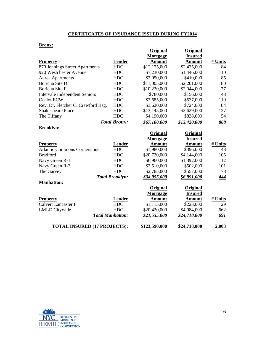# **CERTIFICATES OF INSURANCE ISSUED DURING FY2014**

#### **Bronx:**

|                                      |                         | Original            | Original            |            |
|--------------------------------------|-------------------------|---------------------|---------------------|------------|
|                                      |                         | Mortgage            | <b>Insured</b>      |            |
| <b>Property</b>                      | <b>Lender</b>           | <b>Amount</b>       | <b>Amount</b>       | # Units    |
| 870 Jennings Street Apartments       | <b>HDC</b>              | \$12,175,000        | \$2,435,000         | 84         |
| 920 Westchester Avenue               | <b>HDC</b>              | \$7,230,000         | \$1,446,000         | 110        |
| Aurea Apartments                     | <b>HDC</b>              | \$2,050,000         | \$410,000           | 85         |
| Boricua Site D                       | <b>HDC</b>              | \$11,005,000        | \$2,201,000         | 80         |
| Boricua Site F                       | <b>HDC</b>              | \$10,220,000        | \$2,044,000         | 77         |
| <b>Intervale Independent Seniors</b> | <b>HDC</b>              | \$780,000           | \$156,000           | 48         |
| Ocelot ECW                           | <b>HDC</b>              | \$2,685,000         | \$537,000           | 119        |
| Rev. Dr. Fletcher C. Crawford Hsg.   | <b>HDC</b>              | \$3,620,000         | \$724,000           | 84         |
| <b>Shakespeare Place</b>             | <b>HDC</b>              | \$13,145,000        | \$2,629,000         | 127        |
| The Tiffany                          | <b>HDC</b>              | \$4,190,000         | \$838,000           | 54         |
|                                      | <b>Total Bronx:</b>     | \$67,100,000        | \$13,420,000        | 868        |
| <b>Brooklyn:</b>                     |                         |                     |                     |            |
|                                      |                         | Original            | Original            |            |
|                                      |                         | Mortgage            | <b>Insured</b>      |            |
| <b>Property</b>                      | <b>Lender</b>           | <b>Amount</b>       | <b>Amount</b>       | # Units    |
| <b>Atlantic Commons Cornerstone</b>  | <b>HDC</b>              | \$1,980,000         | \$396,000           | 48         |
| <b>Bradford</b>                      | <b>HDC</b>              | \$20,720,000        | \$4,144,000         | 105        |
| Navy Green R-1                       | <b>HDC</b>              | \$6,960,000         | \$1,392,000         | 112        |
| Navy Green R-3                       | <b>HDC</b>              | \$2,510,000         | \$502,000           | 101        |
| The Garvey                           | <b>HDC</b>              | \$2,785,000         | \$557,000           | 78         |
|                                      | <b>Total Brooklyn:</b>  | \$34,955,000        | \$6,991,000         | <u>444</u> |
| <b>Manhattan:</b>                    |                         |                     |                     |            |
|                                      |                         | Original            | Original            |            |
|                                      |                         | Mortgage            | <b>Insured</b>      |            |
| <b>Property</b>                      | <b>Lender</b>           | <b>Amount</b>       | <b>Amount</b>       | # Units    |
| <b>Calvert Lancaster F</b>           | <b>HDC</b>              | \$1,115,000         | \$223,000           | 29         |
| <b>LMLD</b> Citywide                 | <b>HDC</b>              | \$20,420,000        | \$4,084,000         | 662        |
|                                      | <b>Total Manhattan:</b> | <u>\$21,535,000</u> | <u>\$24,718,000</u> | <u>691</u> |
| <b>TOTAL INSURED (17 PROJECTS):</b>  |                         | \$123,590,000       | \$24,718,000        | 2,003      |

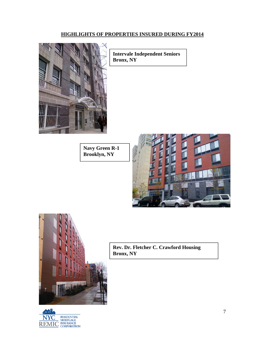## **HIGHLIGHTS OF PROPERTIES INSURED DURING FY2014**



**Intervale Independent Seniors Bronx, NY** 

**Navy Green R-1 Brooklyn, NY** 







**Rev. Dr. Fletcher C. Crawford Housing Bronx, NY**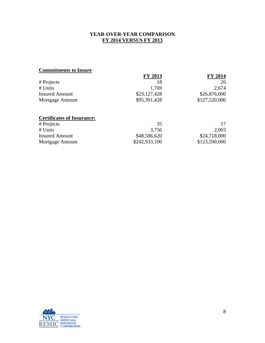## **YEAR-OVER-YEAR COMPARISON FY 2014 VERSUS FY 2013**

# **Commitments to Insure**

|                       | <b>FY 2013</b> | <b>FY 2014</b> |
|-----------------------|----------------|----------------|
| # Projects            |                | 20             |
| # Units               | 1.769          | 2,674          |
| <b>Insured Amount</b> | \$23,127,428   | \$26,876,000   |
| Mortgage Amount       | \$95,391,428   | \$127,520,000  |
|                       |                |                |

# **Certificates of Insurance:**

| # Projects            | 35            |               |
|-----------------------|---------------|---------------|
| # Units               | 3.756         | 2,003         |
| <b>Insured Amount</b> | \$48,586,620  | \$24,718,000  |
| Mortgage Amount       | \$242,933,100 | \$123,590,000 |

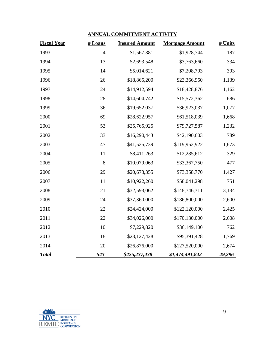# **ANNUAL COMMITMENT ACTIVITY**

| <b>Fiscal Year</b> | # Loans        | <b>Insured Amount</b> | <b>Mortgage Amount</b> | # Units |
|--------------------|----------------|-----------------------|------------------------|---------|
| 1993               | $\overline{4}$ | \$1,567,381           | \$1,928,744            | 187     |
| 1994               | 13             | \$2,693,548           | \$3,763,660            | 334     |
| 1995               | 14             | \$5,014,621           | \$7,208,793            | 393     |
| 1996               | 26             | \$18,865,200          | \$23,366,950           | 1,139   |
| 1997               | 24             | \$14,912,594          | \$18,428,876           | 1,162   |
| 1998               | 28             | \$14,604,742          | \$15,572,362           | 686     |
| 1999               | 36             | \$19,652,037          | \$36,923,037           | 1,077   |
| 2000               | 69             | \$28,622,957          | \$61,518,039           | 1,668   |
| 2001               | 53             | \$25,765,925          | \$79,727,587           | 1,232   |
| 2002               | 33             | \$16,290,443          | \$42,190,603           | 789     |
| 2003               | 47             | \$41,525,739          | \$119,952,922          | 1,673   |
| 2004               | 11             | \$8,411,263           | \$12,285,612           | 329     |
| 2005               | 8              | \$10,079,063          | \$33,367,750           | 477     |
| 2006               | 29             | \$20,673,355          | \$73,358,770           | 1,427   |
| 2007               | 11             | \$10,922,260          | \$58,041,298           | 751     |
| 2008               | 21             | \$32,593,062          | \$148,746,311          | 3,134   |
| 2009               | 24             | \$37,360,000          | \$186,800,000          | 2,600   |
| 2010               | 22             | \$24,424,000          | \$122,120,000          | 2,425   |
| 2011               | 22             | \$34,026,000          | \$170,130,000          | 2,608   |
| 2012               | 10             | \$7,229,820           | \$36,149,100           | 762     |
| 2013               | 18             | \$23,127,428          | \$95,391,428           | 1,769   |
| 2014               | 20             | \$26,876,000          | \$127,520,000          | 2,674   |
| <b>Total</b>       | 543            | \$425,237,438         | \$1,474,491,842        | 29,296  |

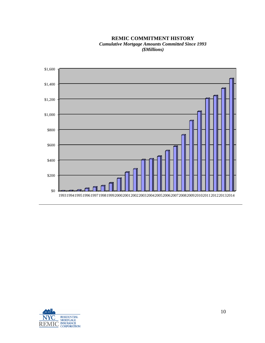**REMIC COMMITMENT HISTORY** *Cumulative Mortgage Amounts Committed Since 1993 (\$Millions)*



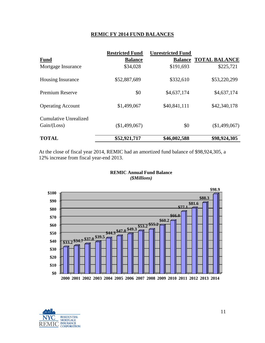### **REMIC FY 2014 FUND BALANCES**

|                                               | <b>Restricted Fund</b> | <b>Unrestricted Fund</b> |                              |
|-----------------------------------------------|------------------------|--------------------------|------------------------------|
| <b>Fund</b>                                   | <b>Balance</b>         |                          | <b>Balance TOTAL BALANCE</b> |
| Mortgage Insurance                            | \$34,028               | \$191,693                | \$225,721                    |
| <b>Housing Insurance</b>                      | \$52,887,689           | \$332,610                | \$53,220,299                 |
| <b>Premium Reserve</b>                        | \$0                    | \$4,637,174              | \$4,637,174                  |
| <b>Operating Account</b>                      | \$1,499,067            | \$40,841,111             | \$42,340,178                 |
| <b>Cumulative Unrealized</b><br>Gain / (Loss) | (\$1,499,067)          | \$0                      | \$1,499,067                  |
| <b>TOTAL</b>                                  | \$52,921,717           | \$46,002,588             | \$98,924,305                 |

At the close of fiscal year 2014, REMIC had an amortized fund balance of \$98,924,305, a 12% increase from fiscal year-end 2013.





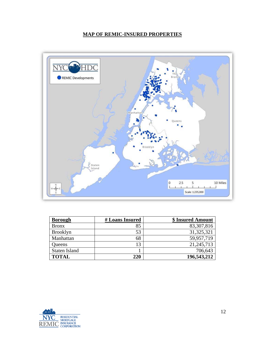# **MAP OF REMIC-INSURED PROPERTIES**



| <b>Borough</b>       | # Loans Insured | \$ Insured Amount |
|----------------------|-----------------|-------------------|
| <b>Bronx</b>         | 85              | 83,307,816        |
| <b>Brooklyn</b>      | 53              | 31, 325, 321      |
| Manhattan            | 68              | 59,957,719        |
| Queens               | 13              | 21,245,713        |
| <b>Staten Island</b> |                 | 706,643           |
| <b>TOTAL</b>         | 220             | 196,543,212       |

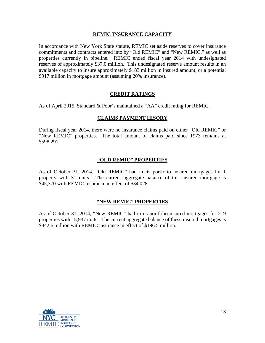## **REMIC INSURANCE CAPACITY**

In accordance with New York State statute, REMIC set aside reserves to cover insurance commitments and contracts entered into by "Old REMIC" and "New REMIC," as well as properties currently in pipeline. REMIC ended fiscal year 2014 with undesignated reserves of approximately \$37.0 million. This undesignated reserve amount results in an available capacity to insure approximately \$183 million in insured amount, or a potential \$917 million in mortgage amount (assuming 20% insurance).

## **CREDIT RATINGS**

As of April 2015, Standard & Poor's maintained a "AA" credit rating for REMIC.

### **CLAIMS PAYMENT HISORY**

During fiscal year 2014, there were no insurance claims paid on either "Old REMIC" or "New REMIC" properties. The total amount of claims paid since 1973 remains at \$598,291.

#### **"OLD REMIC" PROPERTIES**

As of October 31, 2014, "Old REMIC" had in its portfolio insured mortgages for 1 property with 31 units. The current aggregate balance of this insured mortgage is \$45,370 with REMIC insurance in effect of \$34,028.

### **"NEW REMIC" PROPERTIES**

As of October 31, 2014, "New REMIC" had in its portfolio insured mortgages for 219 properties with 15,937 units. The current aggregate balance of these insured mortgages is \$842.6 million with REMIC insurance in effect of \$196.5 million.

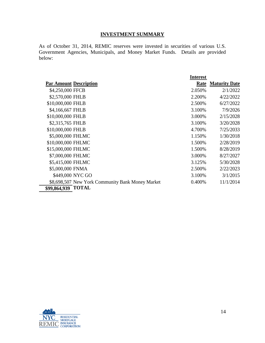## **INVESTMENT SUMMARY**

As of October 31, 2014, REMIC reserves were invested in securities of various U.S. Government Agencies, Municipals, and Money Market Funds. Details are provided below:

| <b>Par Amount Description</b><br>Rate<br>\$4,250,000 FFCB<br>2.050%<br>\$2,570,000 FHLB<br>2.200%<br>\$10,000,000 FHLB<br>2.500%<br>\$4,166,667 FHLB<br>3.100%<br>\$10,000,000 FHLB<br>3.000%<br>\$2,315,765 FHLB<br>3.100%<br>\$10,000,000 FHLB<br>4.700\%<br>\$5,000,000 FHLMC<br>1.150%<br>\$10,000,000 FHLMC<br>1.500%<br>\$15,000,000 FHLMC<br>1.500%<br>\$7,000,000 FHLMC<br>3.000%<br>\$5,415,000 FHLMC<br>3.125%<br>\$5,000,000 FNMA<br>2.500%<br>\$449,000 NYC GO<br>3.100%<br>\$8,698,507 New York Community Bank Money Market<br>0.400%<br><b>TOTAL</b><br>\$99,864,939 |  | <b>Interest</b> |                      |
|------------------------------------------------------------------------------------------------------------------------------------------------------------------------------------------------------------------------------------------------------------------------------------------------------------------------------------------------------------------------------------------------------------------------------------------------------------------------------------------------------------------------------------------------------------------------------------|--|-----------------|----------------------|
|                                                                                                                                                                                                                                                                                                                                                                                                                                                                                                                                                                                    |  |                 | <b>Maturity Date</b> |
|                                                                                                                                                                                                                                                                                                                                                                                                                                                                                                                                                                                    |  |                 | 2/1/2022             |
|                                                                                                                                                                                                                                                                                                                                                                                                                                                                                                                                                                                    |  |                 | 4/22/2022            |
|                                                                                                                                                                                                                                                                                                                                                                                                                                                                                                                                                                                    |  |                 | 6/27/2022            |
|                                                                                                                                                                                                                                                                                                                                                                                                                                                                                                                                                                                    |  |                 | 7/9/2026             |
|                                                                                                                                                                                                                                                                                                                                                                                                                                                                                                                                                                                    |  |                 | 2/15/2028            |
|                                                                                                                                                                                                                                                                                                                                                                                                                                                                                                                                                                                    |  |                 | 3/20/2028            |
|                                                                                                                                                                                                                                                                                                                                                                                                                                                                                                                                                                                    |  |                 | 7/25/2033            |
|                                                                                                                                                                                                                                                                                                                                                                                                                                                                                                                                                                                    |  |                 | 1/30/2018            |
|                                                                                                                                                                                                                                                                                                                                                                                                                                                                                                                                                                                    |  |                 | 2/28/2019            |
|                                                                                                                                                                                                                                                                                                                                                                                                                                                                                                                                                                                    |  |                 | 8/28/2019            |
|                                                                                                                                                                                                                                                                                                                                                                                                                                                                                                                                                                                    |  |                 | 8/27/2027            |
|                                                                                                                                                                                                                                                                                                                                                                                                                                                                                                                                                                                    |  |                 | 5/30/2028            |
|                                                                                                                                                                                                                                                                                                                                                                                                                                                                                                                                                                                    |  |                 | 2/22/2023            |
|                                                                                                                                                                                                                                                                                                                                                                                                                                                                                                                                                                                    |  |                 | 3/1/2015             |
|                                                                                                                                                                                                                                                                                                                                                                                                                                                                                                                                                                                    |  |                 | 11/1/2014            |
|                                                                                                                                                                                                                                                                                                                                                                                                                                                                                                                                                                                    |  |                 |                      |

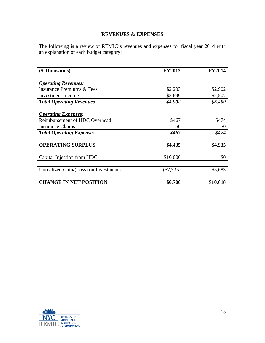## **REVENUES & EXPENSES**

The following is a review of REMIC's revenues and expenses for fiscal year 2014 with an explanation of each budget category:

| (\$ Thousands)                        | <b>FY2013</b> | <b>FY2014</b> |
|---------------------------------------|---------------|---------------|
|                                       |               |               |
| <b>Operating Revenues:</b>            |               |               |
| <b>Insurance Premiums &amp; Fees</b>  | \$2,203       | \$2,902       |
| <b>Investment</b> Income              | \$2,699       | \$2,507       |
| <b>Total Operating Revenues</b>       | \$4,902       | \$5,409       |
|                                       |               |               |
| <b>Operating Expenses:</b>            |               |               |
| Reimbursement of HDC Overhead         | \$467         | \$474         |
| <b>Insurance Claims</b>               | \$0           | \$0           |
| <b>Total Operating Expenses</b>       | \$467         | \$474         |
|                                       |               |               |
| <b>OPERATING SURPLUS</b>              | \$4,435       | \$4,935       |
|                                       |               |               |
| Capital Injection from HDC            | \$10,000      | \$0           |
|                                       |               |               |
| Unrealized Gain/(Loss) on Investments | $(\$7,735)$   | \$5,683       |
|                                       |               |               |
| <b>CHANGE IN NET POSITION</b>         | \$6,700       | \$10,618      |
|                                       |               |               |